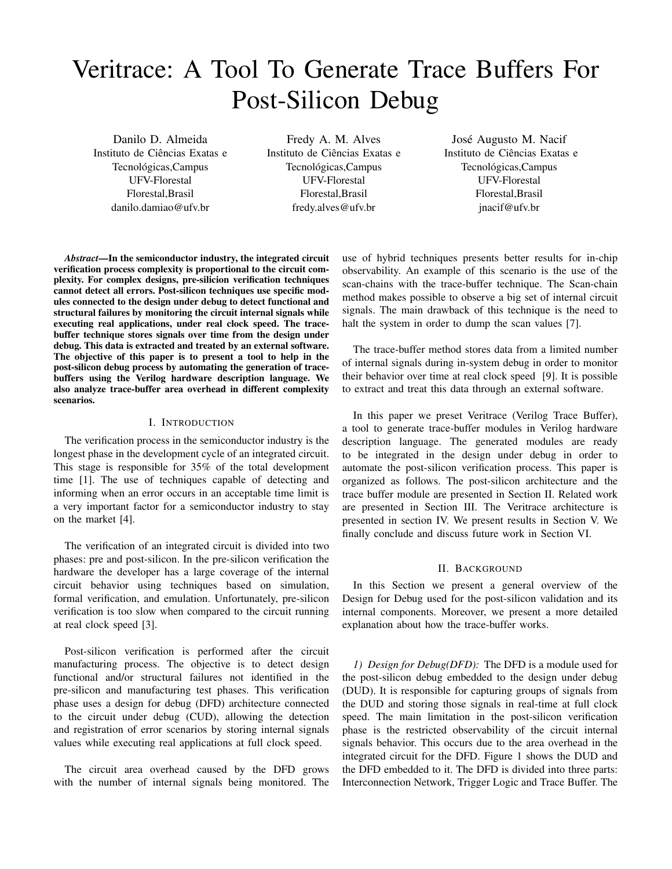# Veritrace: A Tool To Generate Trace Buffers For Post-Silicon Debug

Danilo D. Almeida Instituto de Ciencias Exatas e ˆ Tecnológicas, Campus UFV-Florestal Florestal,Brasil danilo.damiao@ufv.br

Fredy A. M. Alves Instituto de Ciências Exatas e Tecnológicas, Campus UFV-Florestal Florestal,Brasil fredy.alves@ufv.br

José Augusto M. Nacif Instituto de Ciencias Exatas e ˆ Tecnológicas, Campus UFV-Florestal Florestal,Brasil jnacif@ufv.br

*Abstract*—In the semiconductor industry, the integrated circuit verification process complexity is proportional to the circuit complexity. For complex designs, pre-silicion verification techniques cannot detect all errors. Post-silicon techniques use specific modules connected to the design under debug to detect functional and structural failures by monitoring the circuit internal signals while executing real applications, under real clock speed. The tracebuffer technique stores signals over time from the design under debug. This data is extracted and treated by an external software. The objective of this paper is to present a tool to help in the post-silicon debug process by automating the generation of tracebuffers using the Verilog hardware description language. We also analyze trace-buffer area overhead in different complexity scenarios.

#### I. INTRODUCTION

The verification process in the semiconductor industry is the longest phase in the development cycle of an integrated circuit. This stage is responsible for 35% of the total development time [1]. The use of techniques capable of detecting and informing when an error occurs in an acceptable time limit is a very important factor for a semiconductor industry to stay on the market [4].

The verification of an integrated circuit is divided into two phases: pre and post-silicon. In the pre-silicon verification the hardware the developer has a large coverage of the internal circuit behavior using techniques based on simulation, formal verification, and emulation. Unfortunately, pre-silicon verification is too slow when compared to the circuit running at real clock speed [3].

Post-silicon verification is performed after the circuit manufacturing process. The objective is to detect design functional and/or structural failures not identified in the pre-silicon and manufacturing test phases. This verification phase uses a design for debug (DFD) architecture connected to the circuit under debug (CUD), allowing the detection and registration of error scenarios by storing internal signals values while executing real applications at full clock speed.

The circuit area overhead caused by the DFD grows with the number of internal signals being monitored. The use of hybrid techniques presents better results for in-chip observability. An example of this scenario is the use of the scan-chains with the trace-buffer technique. The Scan-chain method makes possible to observe a big set of internal circuit signals. The main drawback of this technique is the need to halt the system in order to dump the scan values [7].

The trace-buffer method stores data from a limited number of internal signals during in-system debug in order to monitor their behavior over time at real clock speed [9]. It is possible to extract and treat this data through an external software.

In this paper we preset Veritrace (Verilog Trace Buffer), a tool to generate trace-buffer modules in Verilog hardware description language. The generated modules are ready to be integrated in the design under debug in order to automate the post-silicon verification process. This paper is organized as follows. The post-silicon architecture and the trace buffer module are presented in Section II. Related work are presented in Section III. The Veritrace architecture is presented in section IV. We present results in Section V. We finally conclude and discuss future work in Section VI.

#### II. BACKGROUND

In this Section we present a general overview of the Design for Debug used for the post-silicon validation and its internal components. Moreover, we present a more detailed explanation about how the trace-buffer works.

*1) Design for Debug(DFD):* The DFD is a module used for the post-silicon debug embedded to the design under debug (DUD). It is responsible for capturing groups of signals from the DUD and storing those signals in real-time at full clock speed. The main limitation in the post-silicon verification phase is the restricted observability of the circuit internal signals behavior. This occurs due to the area overhead in the integrated circuit for the DFD. Figure 1 shows the DUD and the DFD embedded to it. The DFD is divided into three parts: Interconnection Network, Trigger Logic and Trace Buffer. The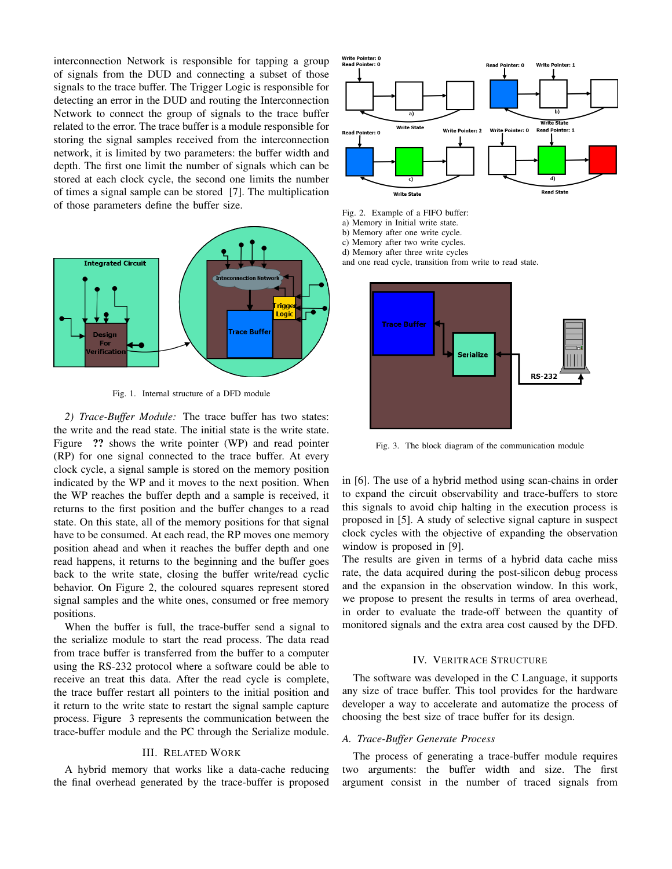interconnection Network is responsible for tapping a group of signals from the DUD and connecting a subset of those signals to the trace buffer. The Trigger Logic is responsible for detecting an error in the DUD and routing the Interconnection Network to connect the group of signals to the trace buffer related to the error. The trace buffer is a module responsible for storing the signal samples received from the interconnection network, it is limited by two parameters: the buffer width and depth. The first one limit the number of signals which can be stored at each clock cycle, the second one limits the number of times a signal sample can be stored [7]. The multiplication of those parameters define the buffer size.



Fig. 1. Internal structure of a DFD module

*2) Trace-Buffer Module:* The trace buffer has two states: the write and the read state. The initial state is the write state. Figure ?? shows the write pointer (WP) and read pointer (RP) for one signal connected to the trace buffer. At every clock cycle, a signal sample is stored on the memory position indicated by the WP and it moves to the next position. When the WP reaches the buffer depth and a sample is received, it returns to the first position and the buffer changes to a read state. On this state, all of the memory positions for that signal have to be consumed. At each read, the RP moves one memory position ahead and when it reaches the buffer depth and one read happens, it returns to the beginning and the buffer goes back to the write state, closing the buffer write/read cyclic behavior. On Figure 2, the coloured squares represent stored signal samples and the white ones, consumed or free memory positions.

When the buffer is full, the trace-buffer send a signal to the serialize module to start the read process. The data read from trace buffer is transferred from the buffer to a computer using the RS-232 protocol where a software could be able to receive an treat this data. After the read cycle is complete, the trace buffer restart all pointers to the initial position and it return to the write state to restart the signal sample capture process. Figure 3 represents the communication between the trace-buffer module and the PC through the Serialize module.

### III. RELATED WORK

A hybrid memory that works like a data-cache reducing the final overhead generated by the trace-buffer is proposed



- Fig. 2. Example of a FIFO buffer:
- a) Memory in Initial write state.
- b) Memory after one write cycle.
- c) Memory after two write cycles.
- d) Memory after three write cycles

and one read cycle, transition from write to read state.



Fig. 3. The block diagram of the communication module

in [6]. The use of a hybrid method using scan-chains in order to expand the circuit observability and trace-buffers to store this signals to avoid chip halting in the execution process is proposed in [5]. A study of selective signal capture in suspect clock cycles with the objective of expanding the observation window is proposed in [9].

The results are given in terms of a hybrid data cache miss rate, the data acquired during the post-silicon debug process and the expansion in the observation window. In this work, we propose to present the results in terms of area overhead, in order to evaluate the trade-off between the quantity of monitored signals and the extra area cost caused by the DFD.

#### IV. VERITRACE STRUCTURE

The software was developed in the C Language, it supports any size of trace buffer. This tool provides for the hardware developer a way to accelerate and automatize the process of choosing the best size of trace buffer for its design.

#### *A. Trace-Buffer Generate Process*

The process of generating a trace-buffer module requires two arguments: the buffer width and size. The first argument consist in the number of traced signals from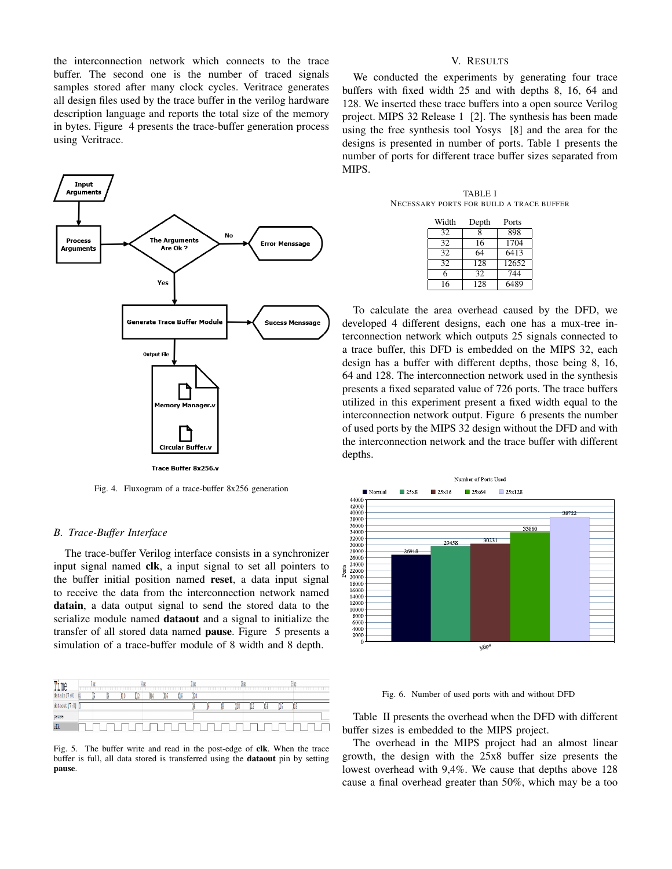the interconnection network which connects to the trace buffer. The second one is the number of traced signals samples stored after many clock cycles. Veritrace generates all design files used by the trace buffer in the verilog hardware description language and reports the total size of the memory in bytes. Figure 4 presents the trace-buffer generation process using Veritrace.



Fig. 4. Fluxogram of a trace-buffer 8x256 generation

#### *B. Trace-Buffer Interface*

The trace-buffer Verilog interface consists in a synchronizer input signal named clk, a input signal to set all pointers to the buffer initial position named reset, a data input signal to receive the data from the interconnection network named datain, a data output signal to send the stored data to the serialize module named **dataout** and a signal to initialize the transfer of all stored data named pause. Figure 5 presents a simulation of a trace-buffer module of 8 width and 8 depth.

| Time          | ų |  | ИW |   |   | 1e |  | <b>In</b><br><b>ALL 200</b> |     |   | Ĭα |  |
|---------------|---|--|----|---|---|----|--|-----------------------------|-----|---|----|--|
| datain[7:0]   |   |  |    | ш | ш | ш  |  |                             |     |   |    |  |
| dataout [7:0] |   |  |    |   |   |    |  | Ю                           | 346 | w | -  |  |
| pause         |   |  |    |   |   |    |  |                             |     |   |    |  |
| clk           |   |  |    |   |   |    |  |                             |     |   |    |  |
|               |   |  |    |   |   |    |  |                             |     |   |    |  |

Fig. 5. The buffer write and read in the post-edge of clk. When the trace buffer is full, all data stored is transferred using the dataout pin by setting pause.

## V. RESULTS

We conducted the experiments by generating four trace buffers with fixed width 25 and with depths 8, 16, 64 and 128. We inserted these trace buffers into a open source Verilog project. MIPS 32 Release 1 [2]. The synthesis has been made using the free synthesis tool Yosys [8] and the area for the designs is presented in number of ports. Table 1 presents the number of ports for different trace buffer sizes separated from MIPS.

TABLE I NECESSARY PORTS FOR BUILD A TRACE BUFFER

| Width | Depth            | Ports |
|-------|------------------|-------|
| 32    | 8                | 898   |
| 32    | 16               | 1704  |
| 32    | 64               | 6413  |
| 32    | $\overline{128}$ | 12652 |
| 6     | $32\overline{)}$ | 744   |
| 16    | 128              | 6489  |

To calculate the area overhead caused by the DFD, we developed 4 different designs, each one has a mux-tree interconnection network which outputs 25 signals connected to a trace buffer, this DFD is embedded on the MIPS 32, each design has a buffer with different depths, those being 8, 16, 64 and 128. The interconnection network used in the synthesis presents a fixed separated value of 726 ports. The trace buffers utilized in this experiment present a fixed width equal to the interconnection network output. Figure 6 presents the number of used ports by the MIPS 32 design without the DFD and with the interconnection network and the trace buffer with different depths.



Fig. 6. Number of used ports with and without DFD

Table II presents the overhead when the DFD with different buffer sizes is embedded to the MIPS project.

The overhead in the MIPS project had an almost linear growth, the design with the 25x8 buffer size presents the lowest overhead with 9,4%. We cause that depths above 128 cause a final overhead greater than 50%, which may be a too